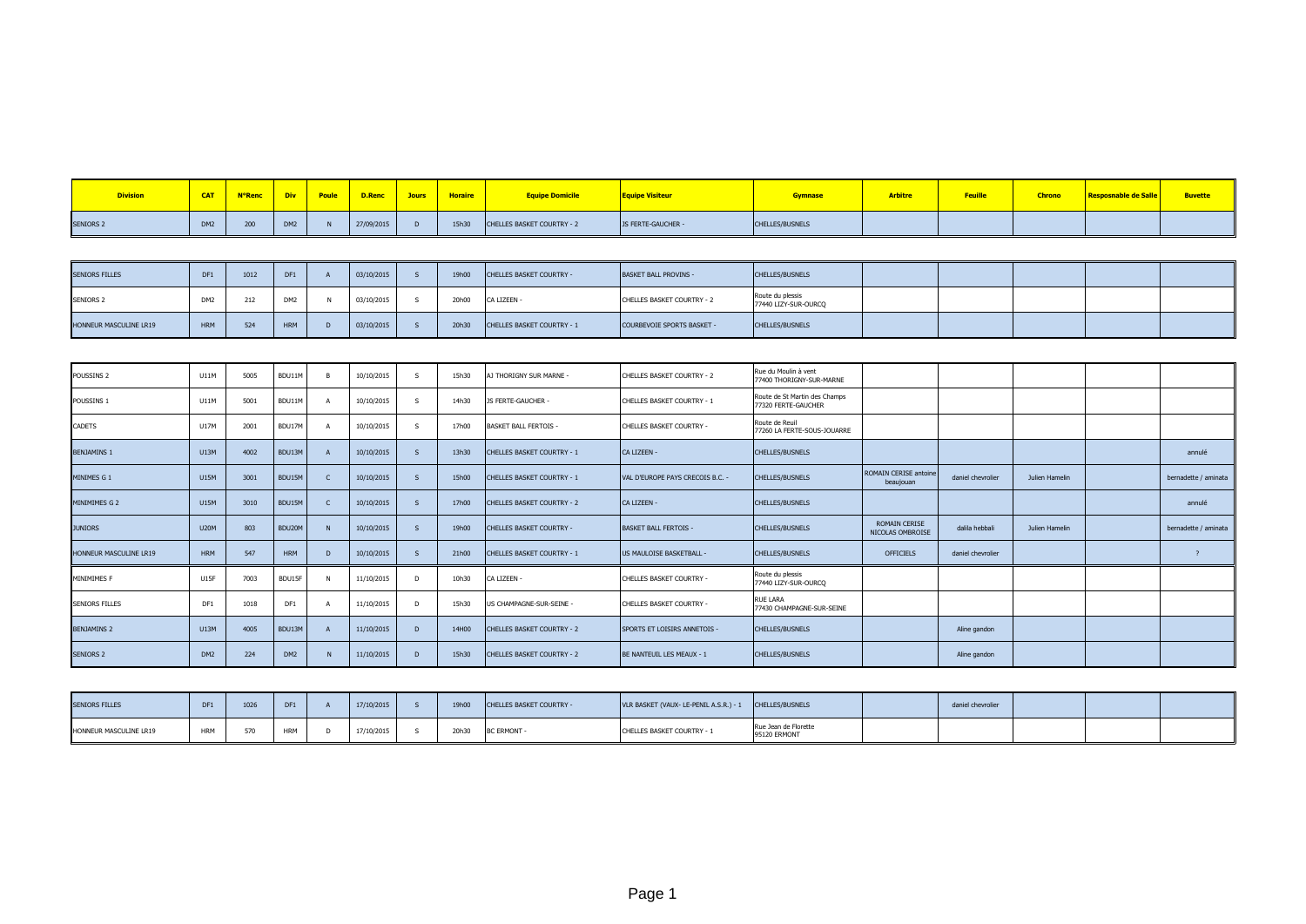| <b>Division</b>  | $•$ CAT $•$     | N°Renc V | Div             | <mark>i Poule  </mark> | D.Renc <sup>l</sup> | <b>Jours</b> | Horaire | <b>Equipe Domicile</b>     | <b>Fquipe Visiteur</b> | <b>Gymnase</b>         | <b>Arbitre</b> |  | <b>Resposnable de Salle</b> | <b>Buvette</b> |
|------------------|-----------------|----------|-----------------|------------------------|---------------------|--------------|---------|----------------------------|------------------------|------------------------|----------------|--|-----------------------------|----------------|
| <b>SENIORS 2</b> | DM <sub>2</sub> | 200      | DM <sub>2</sub> |                        | 27/09/2015          |              | 15h30   | CHELLES BASKET COURTRY - 2 | JS FERTE-GAUCHER -     | <b>CHELLES/BUSNELS</b> |                |  |                             |                |

| <b>SENIORS FILLES</b>  |            | 1012      | DF1             | 03/10/2015 | 19h00 | CHELLES BASKET COURTRY -          | <b>BASKET BALL PROVINS -</b> | CHELLES/BUSNELS                          |  |  |  |
|------------------------|------------|-----------|-----------------|------------|-------|-----------------------------------|------------------------------|------------------------------------------|--|--|--|
| <b>SENIORS 2</b>       |            |           | DM <sub>2</sub> | 03/10/2015 | 20h00 | CA LIZEEN -                       | CHELLES BASKET COURTRY - 2   | Route du plessis<br>77440 LIZY-SUR-OURCQ |  |  |  |
| HONNEUR MASCULINE LR19 | <b>HRM</b> | 524<br>ےر | <b>HRM</b>      | 03/10/2015 | 20h30 | <b>CHELLES BASKET COURTRY - 1</b> | COURBEVOIE SPORTS BASKET -   | CHELLES/BUSNELS                          |  |  |  |

| POUSSINS <sub>2</sub>  | U11M            | 5005 | BDU11M          |                | 10/10/2015 | <b>S</b>     | 15h30 | AJ THORIGNY SUR MARNE -           | CHELLES BASKET COURTRY - 2       | Rue du Moulin à vent<br>77400 THORIGNY-SUR-MARNE     |                                           |                   |                |                      |
|------------------------|-----------------|------|-----------------|----------------|------------|--------------|-------|-----------------------------------|----------------------------------|------------------------------------------------------|-------------------------------------------|-------------------|----------------|----------------------|
| POUSSINS 1             | U11M            | 5001 | BDU11M          |                | 10/10/2015 | S.           | 14h30 | JS FERTE-GAUCHER -                | CHELLES BASKET COURTRY - 1       | Route de St Martin des Champs<br>77320 FERTE-GAUCHER |                                           |                   |                |                      |
| CADETS                 | U17M            | 2001 | BDU17M          |                | 10/10/2015 | $\mathsf{s}$ | 17h00 | <b>BASKET BALL FERTOIS -</b>      | CHELLES BASKET COURTRY -         | Route de Reuil<br>77260 LA FERTE-SOUS-JOUARRE        |                                           |                   |                |                      |
| <b>BENJAMINS 1</b>     | U13M            | 4002 | BDU13M          |                | 10/10/2015 |              | 13h30 | <b>CHELLES BASKET COURTRY - 1</b> | CA LIZEEN -                      | <b>CHELLES/BUSNELS</b>                               |                                           |                   |                | annulé               |
| MINIMES G 1            | <b>U15M</b>     | 3001 | BDU15M          |                | 10/10/2015 | $\mathsf{s}$ | 15h00 | <b>CHELLES BASKET COURTRY - 1</b> | VAL D'EUROPE PAYS CRECOIS B.C. - | <b>CHELLES/BUSNELS</b>                               | <b>ROMAIN CERISE antoine</b><br>beaujouan | daniel chevrolier | Julien Hamelin | bernadette / aminata |
| MINIMIMES G 2          | <b>U15M</b>     | 3010 | BDU15M          |                | 10/10/2015 | $\mathsf{s}$ | 17h00 | <b>CHELLES BASKET COURTRY - 2</b> | CA LIZEEN -                      | <b>CHELLES/BUSNELS</b>                               |                                           |                   |                | annulé               |
| <b>JUNIORS</b>         | <b>U20M</b>     | 803  | BDU20M          | N              | 10/10/2015 | $\mathsf{s}$ | 19h00 | CHELLES BASKET COURTRY -          | <b>BASKET BALL FERTOIS -</b>     | <b>CHELLES/BUSNELS</b>                               | <b>ROMAIN CERISE</b><br>NICOLAS OMBROISE  | dalila hebbali    | Julien Hamelin | bernadette / aminata |
| HONNEUR MASCULINE LR19 | HRM             | 547  | <b>HRM</b>      | $\overline{D}$ | 10/10/2015 | $\mathsf{s}$ | 21h00 | <b>CHELLES BASKET COURTRY - 1</b> | US MAULOISE BASKETBALL -         | <b>CHELLES/BUSNELS</b>                               | <b>OFFICIELS</b>                          | daniel chevrolier |                |                      |
| MINIMIMES F            | <b>U15F</b>     | 7003 | BDU15F          |                | 11/10/2015 | D            | 10h30 | CA LIZEEN -                       | CHELLES BASKET COURTRY -         | Route du plessis<br>77440 LIZY-SUR-OURCO             |                                           |                   |                |                      |
| <b>SENIORS FILLES</b>  | DF1             | 1018 | DF1             |                | 11/10/2015 | D            | 15h30 | US CHAMPAGNE-SUR-SEINE -          | CHELLES BASKET COURTRY -         | <b>RUE LARA</b><br>77430 CHAMPAGNE-SUR-SEINE         |                                           |                   |                |                      |
| <b>BENJAMINS 2</b>     | <b>U13M</b>     | 4005 | BDU13M          |                | 11/10/2015 | D            | 14H00 | CHELLES BASKET COURTRY - 2        | SPORTS ET LOISIRS ANNETOIS -     | <b>CHELLES/BUSNELS</b>                               |                                           | Aline gandon      |                |                      |
| <b>SENIORS 2</b>       | DM <sub>2</sub> | 224  | DM <sub>2</sub> |                | 11/10/2015 | D            | 15h30 | <b>CHELLES BASKET COURTRY - 2</b> | BE NANTEUIL LES MEAUX - 1        | <b>CHELLES/BUSNELS</b>                               |                                           | Aline gandon      |                |                      |

| <b>SENIORS FILLES</b>  | 1026 | DF1        | 17/10/2015 | 19h00 | <b>CHELLES BASKET COURTRY -</b> | VLR BASKET (VAUX- LE-PENIL A.S.R.) - 1 | CHELLES/BUSNELS                      | daniel chevrolier |  |  |
|------------------------|------|------------|------------|-------|---------------------------------|----------------------------------------|--------------------------------------|-------------------|--|--|
| HONNEUR MASCULINE LR19 |      | <b>HRM</b> | 17/10/2015 | 20h30 | <b>BC ERMONT</b>                | CHELLES BASKET COURTRY - 1             | Rue Jean de Florette<br>95120 ERMONT |                   |  |  |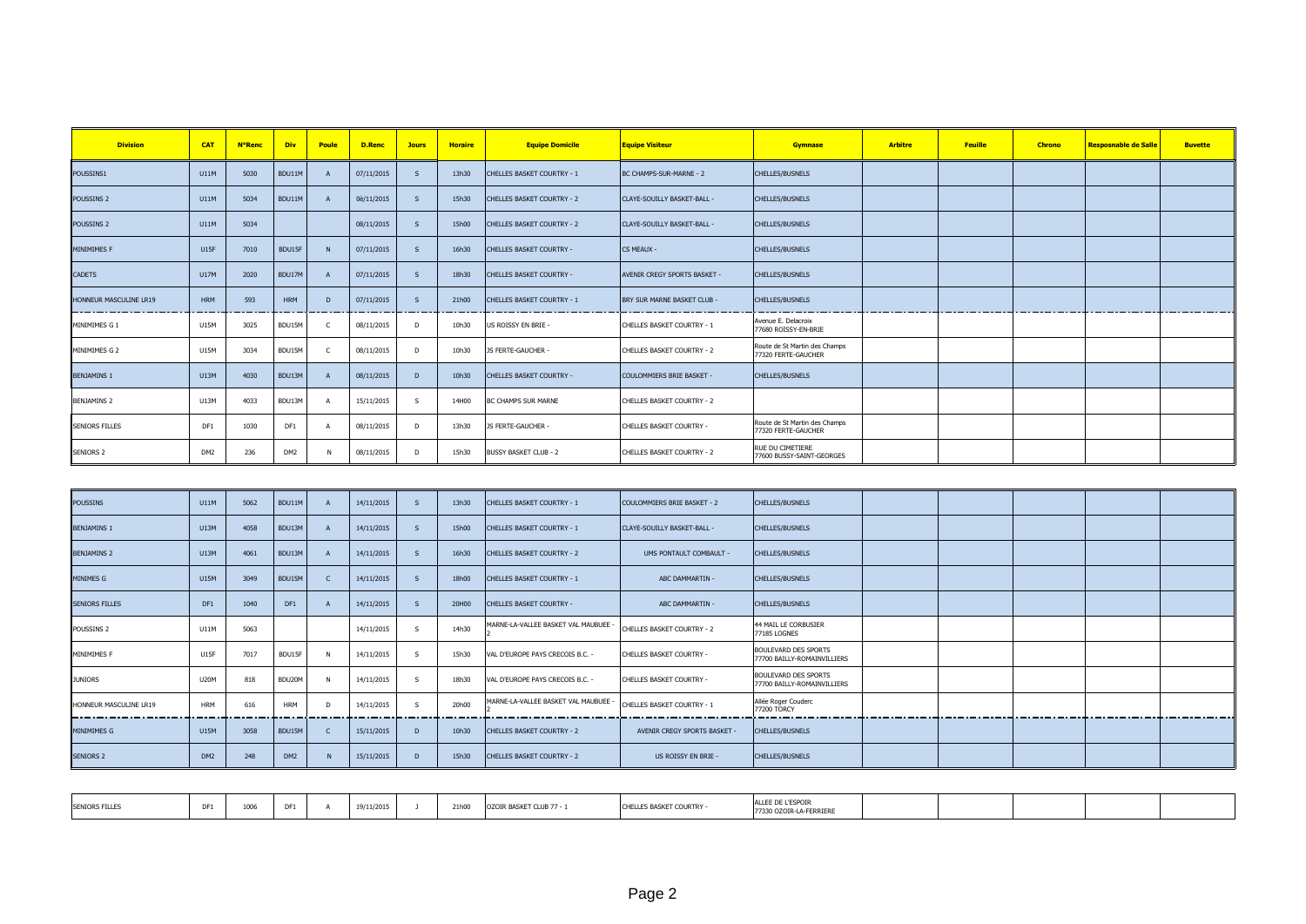| <b>Division</b>        | <b>CAT</b>      | <b>N°Renc</b> | <b>Div</b>      | Poule | D.Renc     | <b>Jours</b> | <b>Horaire</b> | <b>Equipe Domicile</b>            | <b>Equipe Visiteur</b>       | <b>Gymnase</b>                                       | <b>Arbitre</b> | <b>Feuille</b> | <b>Chrono</b> | <b>Resposnable de Salle</b> | <b>Buvette</b> |
|------------------------|-----------------|---------------|-----------------|-------|------------|--------------|----------------|-----------------------------------|------------------------------|------------------------------------------------------|----------------|----------------|---------------|-----------------------------|----------------|
| POUSSINS1              | U11M            | 5030          | BDU11M          |       | 07/11/2015 | $\mathsf{s}$ | 13h30          | <b>CHELLES BASKET COURTRY - 1</b> | BC CHAMPS-SUR-MARNE - 2      | CHELLES/BUSNELS                                      |                |                |               |                             |                |
| POUSSINS <sub>2</sub>  | U11M            | 5034          | BDU11M          |       | 0è/11/2015 | S.           | 15h30          | <b>CHELLES BASKET COURTRY - 2</b> | CLAYE-SOUILLY BASKET-BALL -  | <b>CHELLES/BUSNELS</b>                               |                |                |               |                             |                |
| POUSSINS <sub>2</sub>  | U11M            | 5034          |                 |       | 08/11/2015 | <sub>S</sub> | 15h00          | <b>CHELLES BASKET COURTRY - 2</b> | CLAYE-SOUILLY BASKET-BALL -  | <b>CHELLES/BUSNELS</b>                               |                |                |               |                             |                |
| <b>MINIMIMES F</b>     | <b>U15F</b>     | 7010          | BDU15F          |       | 07/11/2015 | $\mathsf{s}$ | 16h30          | CHELLES BASKET COURTRY -          | <b>CS MEAUX -</b>            | CHELLES/BUSNELS                                      |                |                |               |                             |                |
| <b>CADETS</b>          | U17M            | 2020          | BDU17M          |       | 07/11/2015 | S.           | 18h30          | CHELLES BASKET COURTRY -          | AVENIR CREGY SPORTS BASKET - | <b>CHELLES/BUSNELS</b>                               |                |                |               |                             |                |
| HONNEUR MASCULINE LR19 | <b>HRM</b>      | 593           | <b>HRM</b>      | - D   | 07/11/2015 | <sub>S</sub> | 21h00          | <b>CHELLES BASKET COURTRY - 1</b> | BRY SUR MARNE BASKET CLUB -  | <b>CHELLES/BUSNELS</b>                               |                |                |               |                             |                |
| MINIMIMES G 1          | U15M            | 3025          | BDU15M          |       | 08/11/2015 | D            | 10h30          | US ROISSY EN BRIE -               | CHELLES BASKET COURTRY - 1   | Avenue E. Delacroix<br>77680 ROISSY-EN-BRIE          |                |                |               |                             |                |
| MINIMIMES G 2          | <b>U15M</b>     | 3034          | BDU15M          |       | 08/11/2015 | D.           | 10h30          | JS FERTE-GAUCHER -                | CHELLES BASKET COURTRY - 2   | Route de St Martin des Champs<br>77320 FERTE-GAUCHER |                |                |               |                             |                |
| <b>BENJAMINS 1</b>     | U13M            | 4030          | BDU13M          |       | 08/11/2015 | D            | 10h30          | CHELLES BASKET COURTRY -          | COULOMMIERS BRIE BASKET -    | <b>CHELLES/BUSNELS</b>                               |                |                |               |                             |                |
| <b>BENJAMINS 2</b>     | U13M            | 4033          | BDU13M          |       | 15/11/2015 | -S           | 14H00          | <b>BC CHAMPS SUR MARNE</b>        | CHELLES BASKET COURTRY - 2   |                                                      |                |                |               |                             |                |
| <b>SENIORS FILLES</b>  | DF1             | 1030          | DF1             |       | 08/11/2015 | D.           | 13h30          | JS FERTE-GAUCHER -                | CHELLES BASKET COURTRY -     | Route de St Martin des Champs<br>77320 FERTE-GAUCHER |                |                |               |                             |                |
| SENIORS <sub>2</sub>   | DM <sub>2</sub> | 236           | DM <sub>2</sub> |       | 08/11/2015 | D            | 15h30          | <b>BUSSY BASKET CLUB - 2</b>      | CHELLES BASKET COURTRY - 2   | RUE DU CIMETIERE<br>77600 BUSSY-SAINT-GEORGES        |                |                |               |                             |                |

| <b>POUSSINS</b>        | <b>U11M</b>     | 5062 | BDU11M          | 14/11/2015 |              | 13h30 | <b>CHELLES BASKET COURTRY - 1</b>  | COULOMMIERS BRIE BASKET - 2  | <b>CHELLES/BUSNELS</b>                                     |  |  |  |
|------------------------|-----------------|------|-----------------|------------|--------------|-------|------------------------------------|------------------------------|------------------------------------------------------------|--|--|--|
| <b>BENJAMINS 1</b>     | U13M            | 4058 | BDU13M          | 14/11/2015 |              | 15h00 | <b>CHELLES BASKET COURTRY - 1</b>  | CLAYE-SOUILLY BASKET-BALL -  | <b>CHELLES/BUSNELS</b>                                     |  |  |  |
| <b>BENJAMINS 2</b>     | U13M            | 4061 | BDU13M          | 14/11/2015 |              | 16h30 | <b>CHELLES BASKET COURTRY - 2</b>  | UMS PONTAULT COMBAULT -      | <b>CHELLES/BUSNELS</b>                                     |  |  |  |
| MINIMES G              | <b>U15M</b>     | 3049 | BDU15M          | 14/11/2015 |              | 18h00 | <b>CHELLES BASKET COURTRY - 1</b>  | ABC DAMMARTIN -              | <b>CHELLES/BUSNELS</b>                                     |  |  |  |
| <b>SENIORS FILLES</b>  | DF1             | 1040 | DF1             | 14/11/2015 |              | 20H00 | <b>CHELLES BASKET COURTRY -</b>    | ABC DAMMARTIN -              | <b>CHELLES/BUSNELS</b>                                     |  |  |  |
| POUSSINS <sub>2</sub>  | U11M            | 5063 |                 | 14/11/2015 | $\mathsf{s}$ | 14h30 | MARNE-LA-VALLEE BASKET VAL MAUBUEE | CHELLES BASKET COURTRY - 2   | 44 MAIL LE CORBUSIER<br>77185 LOGNES                       |  |  |  |
| <b>MINIMIMES F</b>     | <b>U15F</b>     | 7017 | BDU15F          | 14/11/2015 | -S           | 15h30 | VAL D'EUROPE PAYS CRECOIS B.C. -   | CHELLES BASKET COURTRY -     | <b>BOULEVARD DES SPORTS</b><br>77700 BAILLY-ROMAINVILLIERS |  |  |  |
| <b>JUNIORS</b>         | <b>U20M</b>     | 818  | BDU20M          | 14/11/2015 | -S           | 18h30 | VAL D'EUROPE PAYS CRECOIS B.C. -   | CHELLES BASKET COURTRY -     | <b>BOULEVARD DES SPORTS</b><br>77700 BAILLY-ROMAINVILLIERS |  |  |  |
| HONNEUR MASCULINE LR19 | <b>HRM</b>      | 616  | <b>HRM</b>      | 14/11/2015 | -S           | 20h00 | MARNE-LA-VALLEE BASKET VAL MAUBUEE | CHELLES BASKET COURTRY - 1   | Allée Roger Couderc<br>77200 TORCY                         |  |  |  |
| MINIMIMES G            | <b>U15M</b>     | 3058 | BDU15M          | 15/11/2015 | D            | 10h30 | <b>CHELLES BASKET COURTRY - 2</b>  | AVENIR CREGY SPORTS BASKET - | <b>CHELLES/BUSNELS</b>                                     |  |  |  |
| <b>SENIORS 2</b>       | DM <sub>2</sub> | 248  | DM <sub>2</sub> | 15/11/2015 |              | 15h30 | <b>CHELLES BASKET COURTRY - 2</b>  | US ROISSY EN BRIE -          | <b>CHELLES/BUSNELS</b>                                     |  |  |  |

| 9/11/2015<br><b>SENIORS FILLES</b><br>21h00<br>OZOIR BASKET CLUB 77 - 1<br>T BASKET COURTRY -<br>$\sim$ | ALLEE DE L'ESPOTE<br>ZOIR-LA-FERRIERE |
|---------------------------------------------------------------------------------------------------------|---------------------------------------|
|---------------------------------------------------------------------------------------------------------|---------------------------------------|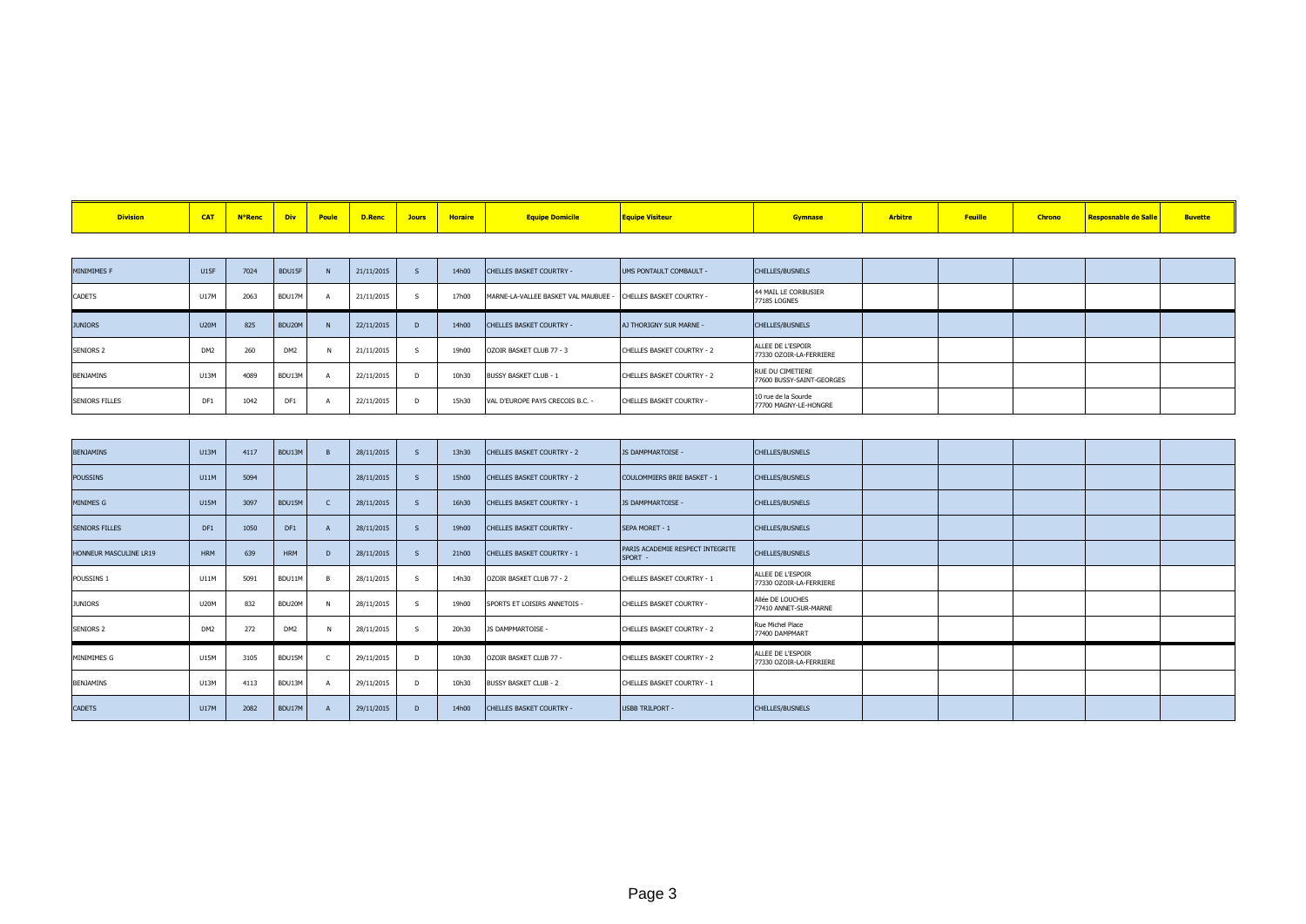|  |  |  |  |  |  |  |  | CAT N°Renc Div Poule D.Renc Jours Horaire Equipe Domicile |  |  | <b>Arbitre</b> |  | <b>Chrono</b> | <b>Example 19 Solid Engineeries School School School School School School School School School School School School</b> |  |
|--|--|--|--|--|--|--|--|-----------------------------------------------------------|--|--|----------------|--|---------------|-------------------------------------------------------------------------------------------------------------------------|--|
|--|--|--|--|--|--|--|--|-----------------------------------------------------------|--|--|----------------|--|---------------|-------------------------------------------------------------------------------------------------------------------------|--|

| MINIMIMES F           | <b>U15F</b>     | 7024 | BDU15F          | 21/11/2015 |              | 14h00 | CHELLES BASKET COURTRY -             | UMS PONTAULT COMBAULT -    | <b>CHELLES/BUSNELS</b>                        |  |  |  |
|-----------------------|-----------------|------|-----------------|------------|--------------|-------|--------------------------------------|----------------------------|-----------------------------------------------|--|--|--|
| CADETS                | U17M            | 2063 | BDU17M          | 21/11/2015 |              | 17h00 | MARNE-LA-VALLEE BASKET VAL MAUBUEE - | CHELLES BASKET COURTRY -   | 44 MAIL LE CORBUSIER<br>77185 LOGNES          |  |  |  |
| <b>JUNIORS</b>        | <b>U20M</b>     | 825  | BDU20M          | 22/11/2015 | D            | 14h00 | CHELLES BASKET COURTRY -             | AJ THORIGNY SUR MARNE -    | <b>CHELLES/BUSNELS</b>                        |  |  |  |
| <b>SENIORS 2</b>      | DM <sub>2</sub> | 260  | DM <sub>2</sub> | 21/11/2015 |              | 19h00 | OZOIR BASKET CLUB 77 - 3             | CHELLES BASKET COURTRY - 2 | ALLEE DE L'ESPOIR<br>77330 OZOIR-LA-FERRIERE  |  |  |  |
| BENJAMINS             | U13M            | 4089 | BDU13M          | 22/11/2015 | D.           | 10h30 | <b>BUSSY BASKET CLUB - 1</b>         | CHELLES BASKET COURTRY - 2 | RUE DU CIMETIERE<br>77600 BUSSY-SAINT-GEORGES |  |  |  |
| <b>SENIORS FILLES</b> | DF1             | 1042 | DF1             | 22/11/2015 | <sub>D</sub> | 15h30 | VAL D'EUROPE PAYS CRECOIS B.C. -     | CHELLES BASKET COURTRY -   | 10 rue de la Sourde<br>77700 MAGNY-LE-HONGRE  |  |  |  |

| <b>BENJAMINS</b>       | <b>U13M</b>     | 4117 | BDU13M          |     | 28/11/2015 |              | 13h30 | CHELLES BASKET COURTRY - 2        | JS DAMPMARTOISE -                           | <b>CHELLES/BUSNELS</b>                       |  |  |  |
|------------------------|-----------------|------|-----------------|-----|------------|--------------|-------|-----------------------------------|---------------------------------------------|----------------------------------------------|--|--|--|
| <b>POUSSINS</b>        | U11M            | 5094 |                 |     | 28/11/2015 |              | 15h00 | <b>CHELLES BASKET COURTRY - 2</b> | COULOMMIERS BRIE BASKET - 1                 | <b>CHELLES/BUSNELS</b>                       |  |  |  |
| <b>MINIMES G</b>       | <b>U15M</b>     | 3097 | BDU15M          |     | 28/11/2015 |              | 16h30 | CHELLES BASKET COURTRY - 1        | JS DAMPMARTOISE -                           | <b>CHELLES/BUSNELS</b>                       |  |  |  |
| <b>SENIORS FILLES</b>  | DF1             | 1050 | DF1             |     | 28/11/2015 |              | 19h00 | CHELLES BASKET COURTRY -          | SEPA MORET - 1                              | <b>CHELLES/BUSNELS</b>                       |  |  |  |
| HONNEUR MASCULINE LR19 | HRM             | 639  | <b>HRM</b>      | - D | 28/11/2015 |              | 21h00 | CHELLES BASKET COURTRY - 1        | PARIS ACADEMIE RESPECT INTEGRITE<br>SPORT - | CHELLES/BUSNELS                              |  |  |  |
| POUSSINS 1             | U11M            | 5091 | BDU11M          |     | 28/11/2015 | $\mathsf{s}$ | 14h30 | OZOIR BASKET CLUB 77 - 2          | CHELLES BASKET COURTRY - 1                  | ALLEE DE L'ESPOIR<br>77330 OZOIR-LA-FERRIERE |  |  |  |
| <b>JUNIORS</b>         | <b>U20M</b>     | 832  | BDU20M          |     | 28/11/2015 | S.           | 19h00 | SPORTS ET LOISIRS ANNETOIS -      | CHELLES BASKET COURTRY -                    | Allée DE LOUCHES<br>77410 ANNET-SUR-MARNE    |  |  |  |
| <b>SENIORS 2</b>       | DM <sub>2</sub> | 272  | DM <sub>2</sub> |     | 28/11/2015 | s.           | 20h30 | <b>JS DAMPMARTOISE -</b>          | CHELLES BASKET COURTRY - 2                  | Rue Michel Place<br>77400 DAMPMART           |  |  |  |
| MINIMIMES G            | <b>U15M</b>     | 3105 | BDU15M          |     | 29/11/2015 | D            | 10h30 | OZOIR BASKET CLUB 77 -            | CHELLES BASKET COURTRY - 2                  | ALLEE DE L'ESPOIR<br>77330 OZOIR-LA-FERRIERE |  |  |  |
| BENJAMINS              | U13M            | 4113 | BDU13M          |     | 29/11/2015 | D            | 10h30 | <b>BUSSY BASKET CLUB - 2</b>      | CHELLES BASKET COURTRY - 1                  |                                              |  |  |  |
| <b>CADETS</b>          | <b>U17M</b>     | 2082 | BDU17M          |     | 29/11/2015 | D            | 14h00 | CHELLES BASKET COURTRY -          | <b>USBB TRILPORT -</b>                      | <b>CHELLES/BUSNELS</b>                       |  |  |  |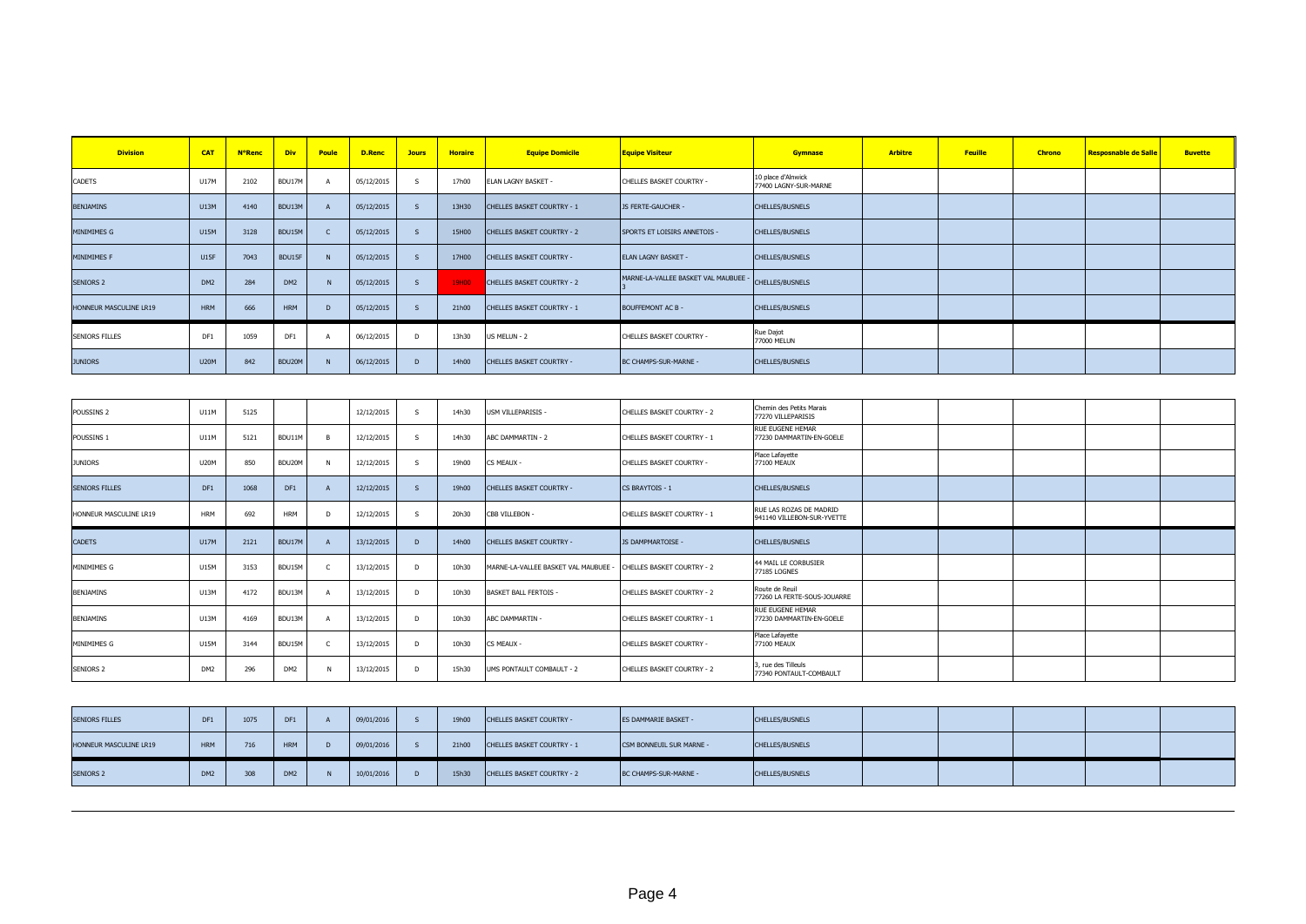| <b>Division</b>        | <b>CAT</b>      | <b>N°Renc</b> | <b>Div</b>      | Poule          | D.Renc     | <b>Jours</b> | <b>Horaire</b> | <b>Equipe Domicile</b>            | <b>Equipe Visiteur</b>             | <b>Gymnase</b>                              | <b>Arbitre</b> | Feuille | <b>Chrono</b> | <b>Resposnable de Salle</b> | <b>Buvette</b> |
|------------------------|-----------------|---------------|-----------------|----------------|------------|--------------|----------------|-----------------------------------|------------------------------------|---------------------------------------------|----------------|---------|---------------|-----------------------------|----------------|
| CADETS                 | <b>U17M</b>     | 2102          | BDU17M          |                | 05/12/2015 | S.           | 17h00          | ELAN LAGNY BASKET -               | CHELLES BASKET COURTRY -           | 10 place d'Alnwick<br>77400 LAGNY-SUR-MARNE |                |         |               |                             |                |
| <b>BENJAMINS</b>       | <b>U13M</b>     | 4140          | BDU13M          |                | 05/12/2015 |              | 13H30          | CHELLES BASKET COURTRY - 1        | JS FERTE-GAUCHER -                 | CHELLES/BUSNELS                             |                |         |               |                             |                |
| <b>MINIMIMES G</b>     | U15M            | 3128          | BDU15M          |                | 05/12/2015 |              | 15H00          | CHELLES BASKET COURTRY - 2        | SPORTS ET LOISIRS ANNETOIS -       | CHELLES/BUSNELS                             |                |         |               |                             |                |
| MINIMIMES F            | <b>U15F</b>     | 7043          | BDU15F          |                | 05/12/2015 |              | 17H00          | <b>CHELLES BASKET COURTRY -</b>   | <b>ELAN LAGNY BASKET -</b>         | CHELLES/BUSNELS                             |                |         |               |                             |                |
| <b>SENIORS 2</b>       | DM <sub>2</sub> | 284           | DM <sub>2</sub> |                | 05/12/2015 |              | 19H00          | <b>CHELLES BASKET COURTRY - 2</b> | MARNE-LA-VALLEE BASKET VAL MAUBUEE | CHELLES/BUSNELS                             |                |         |               |                             |                |
| HONNEUR MASCULINE LR19 | <b>HRM</b>      | 666           | <b>HRM</b>      | $\overline{D}$ | 05/12/2015 |              | 21h00          | CHELLES BASKET COURTRY - 1        | <b>BOUFFEMONT AC B -</b>           | CHELLES/BUSNELS                             |                |         |               |                             |                |
| <b>SENIORS FILLES</b>  | DF1             | 1059          | DF <sub>1</sub> |                | 06/12/2015 | D.           | 13h30          | US MELUN - 2                      | CHELLES BASKET COURTRY -           | Rue Dajot<br>77000 MELUN                    |                |         |               |                             |                |
| <b>JUNIORS</b>         | <b>U20M</b>     | 842           | BDU20M          | N              | 06/12/2015 | D.           | 14h00          | <b>CHELLES BASKET COURTRY -</b>   | BC CHAMPS-SUR-MARNE -              | CHELLES/BUSNELS                             |                |         |               |                             |                |

| POUSSINS <sub>2</sub>  | U11M            | 5125 |                 |    | 12/12/2015 | -S             | 14h30 | <b>USM VILLEPARISIS -</b>            | CHELLES BASKET COURTRY - 2 | Chemin des Petits Marais<br>77270 VILLEPARISIS        |  |  |  |
|------------------------|-----------------|------|-----------------|----|------------|----------------|-------|--------------------------------------|----------------------------|-------------------------------------------------------|--|--|--|
| POUSSINS 1             | U11M            | 5121 | BDU11M          |    | 12/12/2015 | $\mathsf{s}$   | 14h30 | ABC DAMMARTIN - 2                    | CHELLES BASKET COURTRY - 1 | <b>RUE EUGENE HEMAR</b><br>77230 DAMMARTIN-EN-GOELE   |  |  |  |
| <b>JUNIORS</b>         | <b>U20M</b>     | 850  | BDU20M          |    | 12/12/2015 | -S             | 19h00 | CS MEAUX -                           | CHELLES BASKET COURTRY -   | Place Lafayette<br>77100 MEAUX                        |  |  |  |
| <b>SENIORS FILLES</b>  | DF1             | 1068 | DF1             |    | 12/12/2015 |                | 19h00 | <b>CHELLES BASKET COURTRY -</b>      | <b>CS BRAYTOIS - 1</b>     | <b>CHELLES/BUSNELS</b>                                |  |  |  |
| HONNEUR MASCULINE LR19 | <b>HRM</b>      | 692  | <b>HRM</b>      | n, | 12/12/2015 | -S             | 20h30 | CBB VILLEBON -                       | CHELLES BASKET COURTRY - 1 | RUE LAS ROZAS DE MADRID<br>941140 VILLEBON-SUR-YVETTE |  |  |  |
| <b>CADETS</b>          | U17M            | 2121 | BDU17M          |    | 13/12/2015 | $\overline{D}$ | 14h00 | <b>CHELLES BASKET COURTRY -</b>      | JS DAMPMARTOISE -          | <b>CHELLES/BUSNELS</b>                                |  |  |  |
| MINIMIMES G            | <b>U15M</b>     | 3153 | BDU15M          |    | 13/12/2015 | D              | 10h30 | MARNE-LA-VALLEE BASKET VAL MAUBUEE - | CHELLES BASKET COURTRY - 2 | 44 MAIL LE CORBUSIER<br>77185 LOGNES                  |  |  |  |
| BENJAMINS              | U13M            | 4172 | BDU13M          |    | 13/12/2015 | D              | 10h30 | <b>BASKET BALL FERTOIS -</b>         | CHELLES BASKET COURTRY - 2 | Route de Reuil<br>77260 LA FERTE-SOUS-JOUARRE         |  |  |  |
| BENJAMINS              | U13M            | 4169 | BDU13M          |    | 13/12/2015 | D              | 10h30 | ABC DAMMARTIN -                      | CHELLES BASKET COURTRY - 1 | RUE EUGENE HEMAR<br>77230 DAMMARTIN-EN-GOELE          |  |  |  |
| MINIMIMES G            | U15M            | 3144 | BDU15M          |    | 13/12/2015 | D              | 10h30 | CS MEAUX -                           | CHELLES BASKET COURTRY -   | Place Lafayette<br>77100 MEAUX                        |  |  |  |
| <b>SENIORS 2</b>       | DM <sub>2</sub> | 296  | DM <sub>2</sub> |    | 13/12/2015 | D              | 15h30 | UMS PONTAULT COMBAULT - 2            | CHELLES BASKET COURTRY - 2 | 3, rue des Tilleuls<br>77340 PONTAULT-COMBAULT        |  |  |  |

| <b>SENIORS FILLES</b>  |                 | 1075 | DF <sub>1</sub> | 09/01/2016 | 19h00 | <b>CHELLES BASKET COURTRY -</b> | ES DAMMARIE BASKET -     | CHELLES/BUSNELS        |  |  |  |
|------------------------|-----------------|------|-----------------|------------|-------|---------------------------------|--------------------------|------------------------|--|--|--|
| HONNEUR MASCULINE LR19 | <b>HRM</b>      | 716  | <b>HRM</b>      | 09/01/2016 | 21h00 | CHELLES BASKET COURTRY - 1      | CSM BONNEUIL SUR MARNE - | <b>CHELLES/BUSNELS</b> |  |  |  |
| <b>SENIORS 2</b>       | DM <sub>2</sub> | 308  | DM <sub>2</sub> | 10/01/2016 | 15h30 | CHELLES BASKET COURTRY - 2      | BC CHAMPS-SUR-MARNE -    | <b>CHELLES/BUSNELS</b> |  |  |  |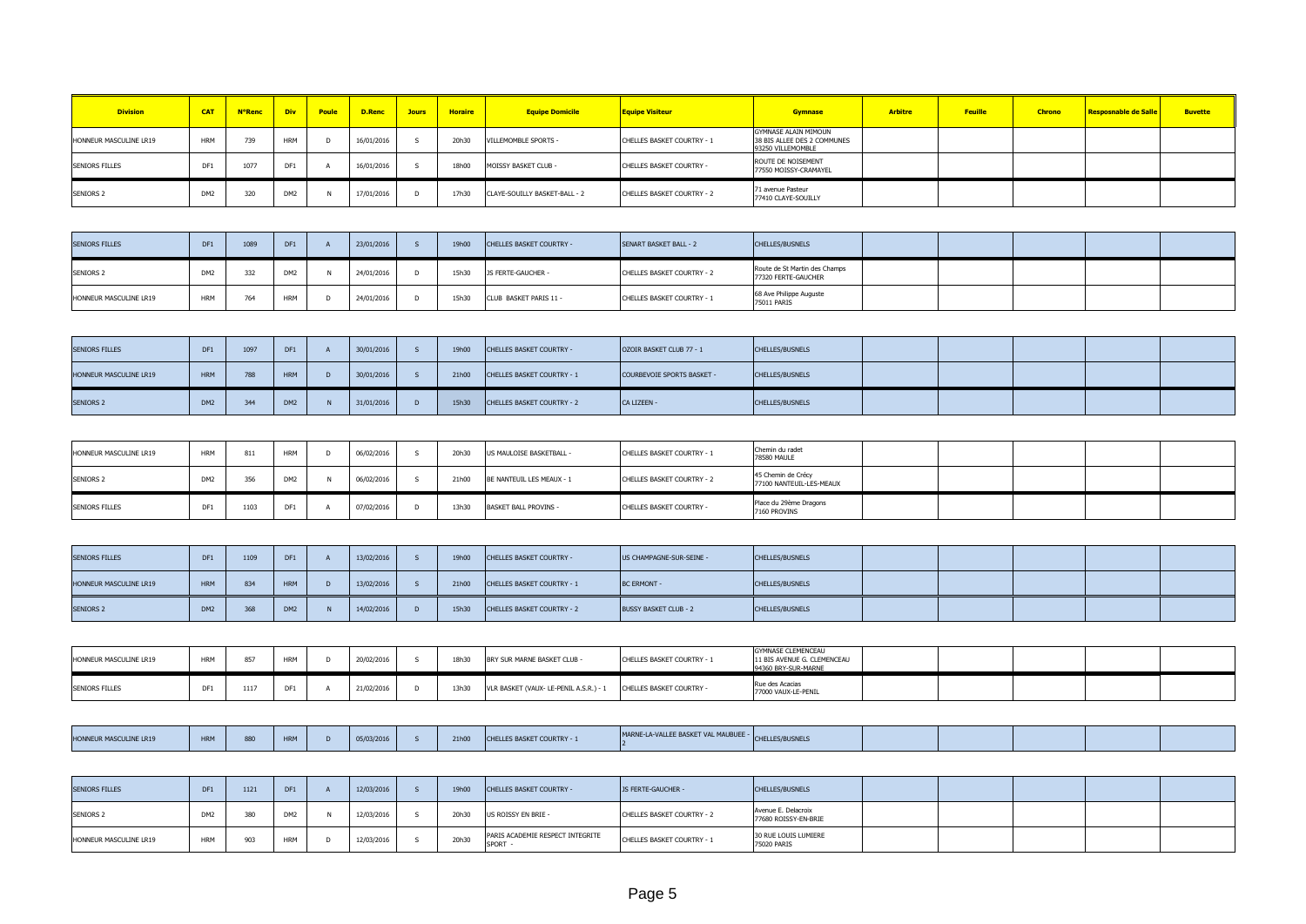| <b>Division</b>        | <b>CAT</b>      | <b>N°Renc</b> | <b>Div</b>      | Poule | <b>D.Renc</b> | <b>Jours</b> | <b>Horaire</b> | <b>Equipe Domicile</b>        | <b>Equipe Visiteur</b>     | <b>Gymnase</b>                                                                  | <b>Arbitre</b> | Feuille | <b>Chrono</b> | Resposnable de Salle | <b>Buvette</b> |
|------------------------|-----------------|---------------|-----------------|-------|---------------|--------------|----------------|-------------------------------|----------------------------|---------------------------------------------------------------------------------|----------------|---------|---------------|----------------------|----------------|
| HONNEUR MASCULINE LR19 | <b>HRM</b>      | $\sim$<br>135 | <b>HRM</b>      |       | 16/01/2016    |              | 20h30          | VILLEMOMBLE SPORTS -          | CHELLES BASKET COURTRY - 1 | <b>GYMNASE ALAIN MIMOUN</b><br>38 BIS ALLEE DES 2 COMMUNES<br>93250 VILLEMOMBLE |                |         |               |                      |                |
| SENIORS FILLES         | DE:<br>. יש     | 107           | DF1             |       | 16/01/2016    |              | 18h00          | MOISSY BASKET CLUB -          | CHELLES BASKET COURTRY -   | ROUTE DE NOISEMENT<br>77550 MOISSY-CRAMAYEL                                     |                |         |               |                      |                |
| <b>SENIORS 2</b>       | DM <sub>2</sub> | 32            | DM <sub>2</sub> |       | 17/01/2016    | D.           | 17h30          | CLAYE-SOUILLY BASKET-BALL - 2 | CHELLES BASKET COURTRY - 2 | 71 avenue Pasteur<br>77410 CLAYE-SOUILLY                                        |                |         |               |                      |                |

| <b>SENIORS FILLES</b>  |            | 1089 | DF1             | 23/01/2016 | 19h00 | CHELLES BASKET COURTRY - | SENART BASKET BALL - 2     | <b>CHELLES/BUSNELS</b>                               |  |  |  |
|------------------------|------------|------|-----------------|------------|-------|--------------------------|----------------------------|------------------------------------------------------|--|--|--|
| <b>SENIORS 2</b>       |            | 332  | DM <sub>2</sub> | 24/01/2016 | 15h30 | JS FERTE-GAUCHER -       | CHELLES BASKET COURTRY - 2 | Route de St Martin des Champs<br>77320 FERTE-GAUCHER |  |  |  |
| HONNEUR MASCULINE LR19 | <b>HRM</b> |      | <b>HRM</b>      | 24/01/2016 | 15h30 | CLUB BASKET PARIS 11 -   | CHELLES BASKET COURTRY - 1 | 68 Ave Philippe Auguste<br>75011 PARIS               |  |  |  |

| <b>SENIORS FILLES</b>  | DF1             | 1097 | DF1             | 30/01/2016 | 19h00 | CHELLES BASKET COURTRY -          | OZOIR BASKET CLUB 77 - 1   | <b>CHELLES/BUSNELS</b> |  |  |  |
|------------------------|-----------------|------|-----------------|------------|-------|-----------------------------------|----------------------------|------------------------|--|--|--|
| HONNEUR MASCULINE LR19 | <b>HRM</b>      | 788  | <b>HRM</b>      | 30/01/2016 | 21h00 | <b>CHELLES BASKET COURTRY - 1</b> | COURBEVOIE SPORTS BASKET - | <b>CHELLES/BUSNELS</b> |  |  |  |
| <b>SENIORS 2</b>       | DM <sub>2</sub> | 344  | DM <sub>2</sub> | 31/01/2016 | 15h30 | CHELLES BASKET COURTRY - 2        | CA LIZEEN -                | <b>CHELLES/BUSNELS</b> |  |  |  |

| HONNEUR MASCULINE LR19 | <b>HRM</b> |     | <b>HRM</b>      | 06/02/2016 | 20h30 | US MAULOISE BASKETBALL -     | CHELLES BASKET COURTRY - 1 | Chemin du radet<br>78580 MAULE                 |  |  |  |
|------------------------|------------|-----|-----------------|------------|-------|------------------------------|----------------------------|------------------------------------------------|--|--|--|
| <b>SENIORS 2</b>       |            | しつい | DM <sub>2</sub> | 06/02/2016 | 21h00 | BE NANTEUIL LES MEAUX - 1    | CHELLES BASKET COURTRY - 2 | 45 Chemin de Crécy<br>77100 NANTEUIL-LES-MEAUX |  |  |  |
| <b>SENIORS FILLES</b>  |            |     | DF1             | 07/02/2016 | 13h30 | <b>BASKET BALL PROVINS -</b> | CHELLES BASKET COURTRY -   | Place du 29ème Dragons<br>7160 PROVINS         |  |  |  |

| <b>SENIORS FILLES</b>  |                 | 1109 | DF1 | 13/02/2016 | 19h00 | <b>CHELLES BASKET COURTRY -</b>   | US CHAMPAGNE-SUR-SEINE -     | CHELLES/BUSNELS |  |  |  |
|------------------------|-----------------|------|-----|------------|-------|-----------------------------------|------------------------------|-----------------|--|--|--|
| HONNEUR MASCULINE LR19 | <b>HRM</b>      | 834  | HRM | 13/02/2016 | 21h00 | <b>CHELLES BASKET COURTRY - 1</b> | <b>BC ERMONT -</b>           | CHELLES/BUSNELS |  |  |  |
| <b>SENIORS 2</b>       | DM <sub>2</sub> | 368  | DM2 | 14/02/2016 | 15h30 | <b>CHELLES BASKET COURTRY - 2</b> | <b>BUSSY BASKET CLUB - 2</b> | CHELLES/BUSNELS |  |  |  |

| HONNEUR MASCULINE LR19 | <b>LIDA4</b> | <b>HRM</b> | 20/02/2016 | 18h30 | BRY SUR MARNE BASKET CLUB -          | CHELLES BASKET COURTRY - 1 | <b>GYMNASE CLEMENCEAU</b><br>11 BIS AVENUE G. CLEMENCEAU<br>94360 BRY-SUR-MARNE |  |  |  |
|------------------------|--------------|------------|------------|-------|--------------------------------------|----------------------------|---------------------------------------------------------------------------------|--|--|--|
| <b>SENIORS FILLES</b>  | DF1          | DF:        | 21/02/2016 | 13h30 | VLR BASKET (VAUX- LE-PENIL A.S.R.) - | CHELLES BASKET COURTRY -   | Rue des Acacias<br>77000 VAUX-LE-PENIL                                          |  |  |  |

| I TNF I R19 | <b>LIDA4</b><br><b>HVM</b><br><b>THAR</b> | 880 |  | 03/2016<br>- 05. | 21h00 | <b>CHELLES BASKET COURTRY -</b> | THE RUSSIAN WALL BROOKER | CHELLES/RL |  |  |  |
|-------------|-------------------------------------------|-----|--|------------------|-------|---------------------------------|--------------------------|------------|--|--|--|

| <b>SENIORS FILLES</b>  | DF1             | 1121 | DF <sub>1</sub> | 12/03/2016 | 19h00 | CHELLES BASKET COURTRY -                  | JS FERTE-GAUCHER -         | <b>CHELLES/BUSNELS</b>                      |  |  |  |
|------------------------|-----------------|------|-----------------|------------|-------|-------------------------------------------|----------------------------|---------------------------------------------|--|--|--|
| <b>SENIORS 2</b>       | DM <sub>2</sub> | w    | DM <sub>2</sub> | 12/03/2016 | 20h30 | US ROISSY EN BRIE -                       | CHELLES BASKET COURTRY - 2 | Avenue E. Delacroix<br>77680 ROISSY-EN-BRIE |  |  |  |
| HONNEUR MASCULINE LR19 | <b>HRM</b>      | 903  | <b>HRM</b>      | 12/03/2016 | 20h30 | PARIS ACADEMIE RESPECT INTEGRITE<br>SPORT | CHELLES BASKET COURTRY - 1 | 30 RUE LOUIS LUMIERE<br>75020 PARIS         |  |  |  |